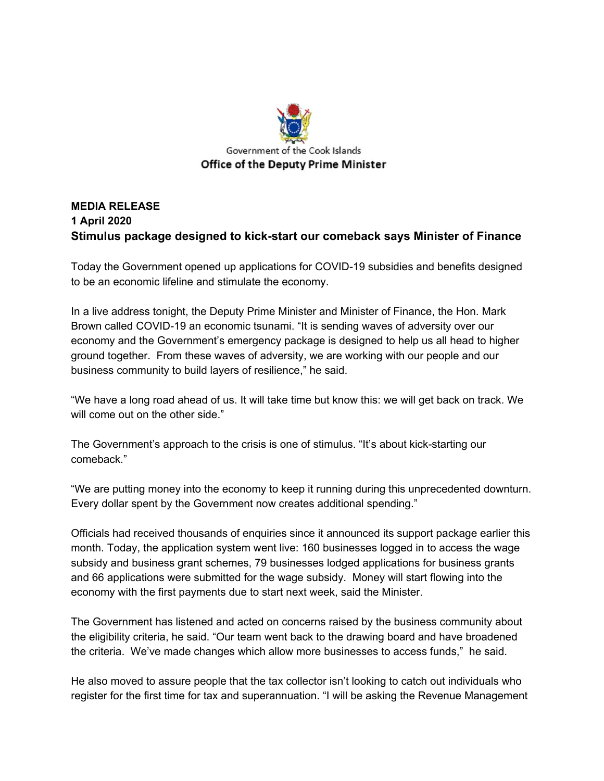

## **MEDIA RELEASE 1 April 2020 Stimulus package designed to kick-start our comeback says Minister of Finance**

Today the Government opened up applications for COVID-19 subsidies and benefits designed to be an economic lifeline and stimulate the economy.

In a live address tonight, the Deputy Prime Minister and Minister of Finance, the Hon. Mark Brown called COVID-19 an economic tsunami. "It is sending waves of adversity over our economy and the Government's emergency package is designed to help us all head to higher ground together. From these waves of adversity, we are working with our people and our business community to build layers of resilience," he said.

"We have a long road ahead of us. It will take time but know this: we will get back on track. We will come out on the other side."

The Government's approach to the crisis is one of stimulus. "It's about kick-starting our comeback."

"We are putting money into the economy to keep it running during this unprecedented downturn. Every dollar spent by the Government now creates additional spending."

Officials had received thousands of enquiries since it announced its support package earlier this month. Today, the application system went live: 160 businesses logged in to access the wage subsidy and business grant schemes, 79 businesses lodged applications for business grants and 66 applications were submitted for the wage subsidy. Money will start flowing into the economy with the first payments due to start next week, said the Minister.

The Government has listened and acted on concerns raised by the business community about the eligibility criteria, he said. "Our team went back to the drawing board and have broadened the criteria. We've made changes which allow more businesses to access funds," he said.

He also moved to assure people that the tax collector isn't looking to catch out individuals who register for the first time for tax and superannuation. "I will be asking the Revenue Management